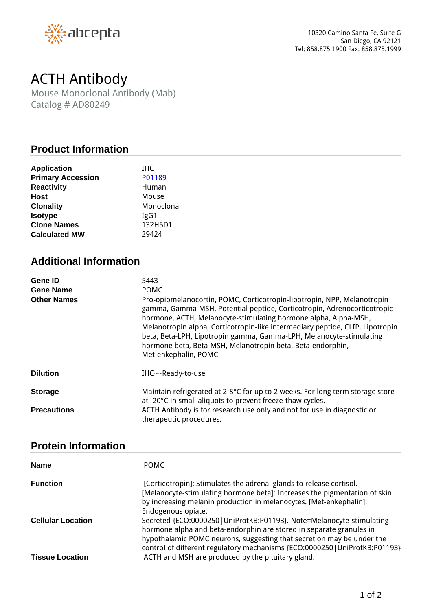

## *ACTH Antibody*

*Mouse Monoclonal Antibody (Mab) Catalog # AD80249*

## **Product Information**

| <b>Application</b>       | <b>IHC</b> |
|--------------------------|------------|
| <b>Primary Accession</b> | P01189     |
| <b>Reactivity</b>        | Human      |
| <b>Host</b>              | Mouse      |
| <b>Clonality</b>         | Monoclonal |
| <b>Isotype</b>           | IgG1       |
| <b>Clone Names</b>       | 132H5D1    |
| <b>Calculated MW</b>     | 29424      |
|                          |            |

## **Additional Information**

| <b>Gene ID</b><br><b>Gene Name</b><br><b>Other Names</b> | 5443<br><b>POMC</b><br>Pro-opiomelanocortin, POMC, Corticotropin-lipotropin, NPP, Melanotropin<br>gamma, Gamma-MSH, Potential peptide, Corticotropin, Adrenocorticotropic<br>hormone, ACTH, Melanocyte-stimulating hormone alpha, Alpha-MSH,<br>Melanotropin alpha, Corticotropin-like intermediary peptide, CLIP, Lipotropin<br>beta, Beta-LPH, Lipotropin gamma, Gamma-LPH, Melanocyte-stimulating<br>hormone beta, Beta-MSH, Melanotropin beta, Beta-endorphin,<br>Met-enkephalin, POMC |
|----------------------------------------------------------|--------------------------------------------------------------------------------------------------------------------------------------------------------------------------------------------------------------------------------------------------------------------------------------------------------------------------------------------------------------------------------------------------------------------------------------------------------------------------------------------|
| <b>Dilution</b>                                          | IHC~~Ready-to-use                                                                                                                                                                                                                                                                                                                                                                                                                                                                          |
| <b>Storage</b><br><b>Precautions</b>                     | Maintain refrigerated at 2-8°C for up to 2 weeks. For long term storage store<br>at -20°C in small aliquots to prevent freeze-thaw cycles.<br>ACTH Antibody is for research use only and not for use in diagnostic or                                                                                                                                                                                                                                                                      |
|                                                          | therapeutic procedures.                                                                                                                                                                                                                                                                                                                                                                                                                                                                    |

## **Protein Information**

| <b>Name</b>                                        | <b>POMC</b>                                                                                                                                                                                                                                                                                                                                                |
|----------------------------------------------------|------------------------------------------------------------------------------------------------------------------------------------------------------------------------------------------------------------------------------------------------------------------------------------------------------------------------------------------------------------|
| <b>Function</b>                                    | [Corticotropin]: Stimulates the adrenal glands to release cortisol.<br>[Melanocyte-stimulating hormone beta]: Increases the pigmentation of skin<br>by increasing melanin production in melanocytes. [Met-enkephalin]:<br>Endogenous opiate.                                                                                                               |
| <b>Cellular Location</b><br><b>Tissue Location</b> | Secreted {ECO:0000250   UniProtKB:P01193}. Note=Melanocyte-stimulating<br>hormone alpha and beta-endorphin are stored in separate granules in<br>hypothalamic POMC neurons, suggesting that secretion may be under the<br>control of different regulatory mechanisms {ECO:0000250   UniProtKB:P01193}<br>ACTH and MSH are produced by the pituitary gland. |